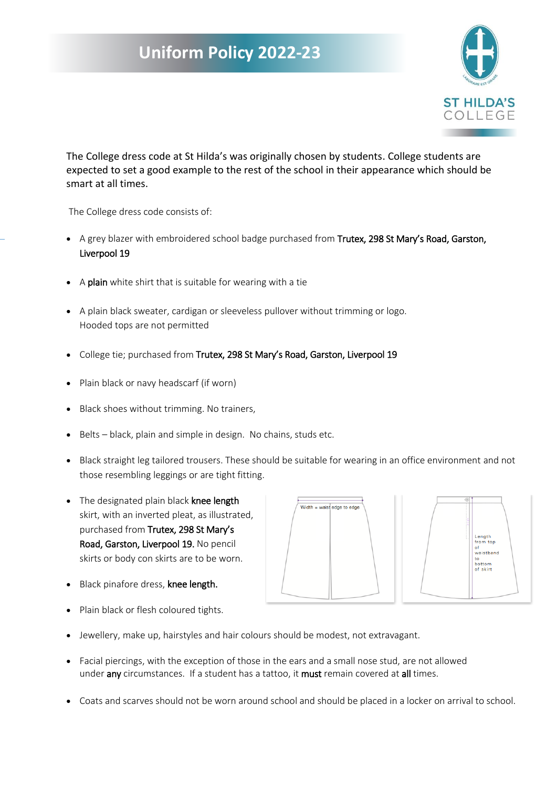## **Uniform Policy 2022-23**



The College dress code at St Hilda's was originally chosen by students. College students are expected to set a good example to the rest of the school in their appearance which should be smart at all times.

The College dress code consists of:

- A grey blazer with embroidered school badge purchased from Trutex, 298 St Mary's Road, Garston, Liverpool 19
- A plain white shirt that is suitable for wearing with a tie
- A plain black sweater, cardigan or sleeveless pullover without trimming or logo. Hooded tops are not permitted
- College tie; purchased from Trutex, 298 St Mary's Road, Garston, Liverpool 19
- Plain black or navy headscarf (if worn)
- Black shoes without trimming. No trainers,
- Belts black, plain and simple in design. No chains, studs etc.
- Black straight leg tailored trousers. These should be suitable for wearing in an office environment and not those resembling leggings or are tight fitting.
- The designated plain black knee length skirt, with an inverted pleat, as illustrated, purchased from Trutex, 298 St Mary's Road, Garston, Liverpool 19. No pencil skirts or body con skirts are to be worn.
- Black pinafore dress, knee length.



- Plain black or flesh coloured tights.
- Jewellery, make up, hairstyles and hair colours should be modest, not extravagant.
- Facial piercings, with the exception of those in the ears and a small nose stud, are not allowed under any circumstances. If a student has a tattoo, it must remain covered at all times.
- Coats and scarves should not be worn around school and should be placed in a locker on arrival to school.